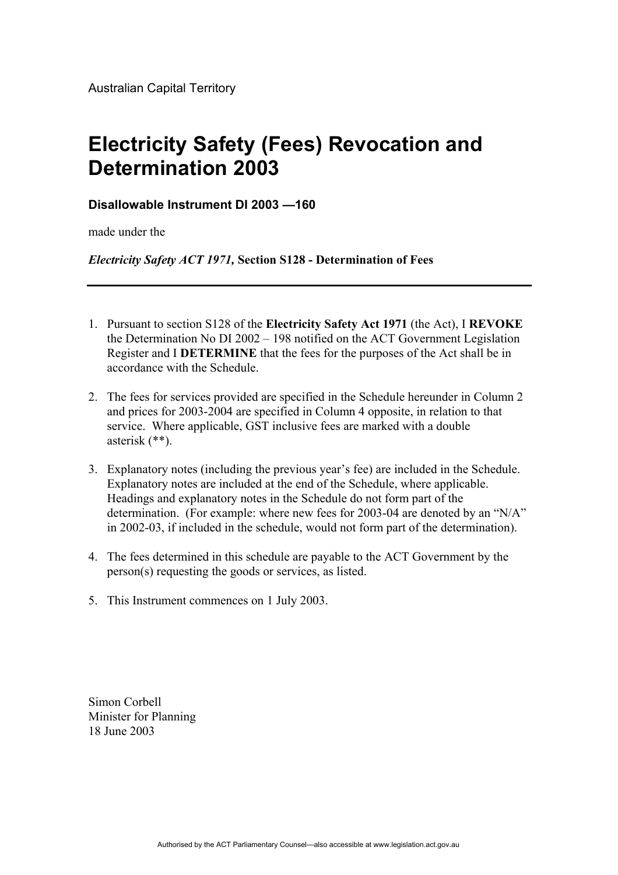## **Electricity Safety (Fees) Revocation and Determination 2003**

## **Disallowable Instrument DI 2003 —160**

made under the

*Electricity Safety ACT 1971,* **Section S128 - Determination of Fees**

- 1. Pursuant to section S128 of the **Electricity Safety Act 1971** (the Act), I **REVOKE** the Determination No DI 2002 – 198 notified on the ACT Government Legislation Register and I **DETERMINE** that the fees for the purposes of the Act shall be in accordance with the Schedule.
- 2. The fees for services provided are specified in the Schedule hereunder in Column 2 and prices for 2003-2004 are specified in Column 4 opposite, in relation to that service. Where applicable, GST inclusive fees are marked with a double asterisk (\*\*).
- 3. Explanatory notes (including the previous year's fee) are included in the Schedule. Explanatory notes are included at the end of the Schedule, where applicable. Headings and explanatory notes in the Schedule do not form part of the determination. (For example: where new fees for 2003-04 are denoted by an "N/A" in 2002-03, if included in the schedule, would not form part of the determination).
- 4. The fees determined in this schedule are payable to the ACT Government by the person(s) requesting the goods or services, as listed.
- 5. This Instrument commences on 1 July 2003.

Simon Corbell Minister for Planning 18 June 2003